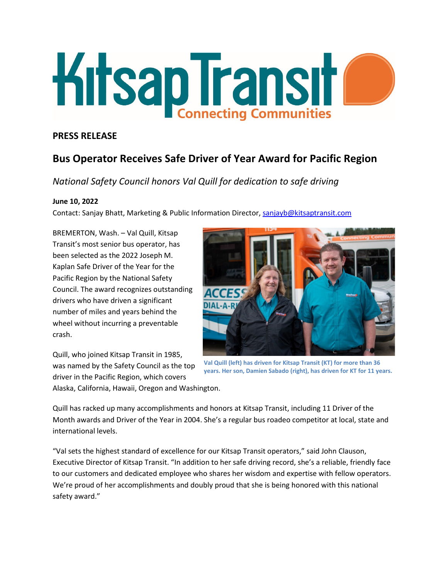

# **PRESS RELEASE**

# **Bus Operator Receives Safe Driver of Year Award for Pacific Region**

*National Safety Council honors Val Quill for dedication to safe driving*

## **June 10, 2022**

Contact: Sanjay Bhatt, Marketing & Public Information Director, [sanjayb@kitsaptransit.com](mailto:sanjayb@kitsaptransit.com)

BREMERTON, Wash. – Val Quill, Kitsap Transit's most senior bus operator, has been selected as the 2022 Joseph M. Kaplan Safe Driver of the Year for the Pacific Region by the National Safety Council. The award recognizes outstanding drivers who have driven a significant number of miles and years behind the wheel without incurring a preventable crash.

Quill, who joined Kitsap Transit in 1985, was named by the Safety Council as the top driver in the Pacific Region, which covers Alaska, California, Hawaii, Oregon and Washington.



**Val Quill (left) has driven for Kitsap Transit (KT) for more than 36 years. Her son, Damien Sabado (right), has driven for KT for 11 years.**

Quill has racked up many accomplishments and honors at Kitsap Transit, including 11 Driver of the Month awards and Driver of the Year in 2004. She's a regular bus roadeo competitor at local, state and international levels.

"Val sets the highest standard of excellence for our Kitsap Transit operators," said John Clauson, Executive Director of Kitsap Transit. "In addition to her safe driving record, she's a reliable, friendly face to our customers and dedicated employee who shares her wisdom and expertise with fellow operators. We're proud of her accomplishments and doubly proud that she is being honored with this national safety award."